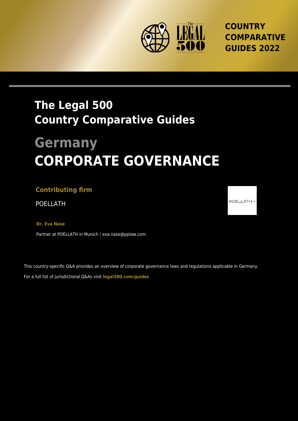

**COUNTRY COMPARATIVE GUIDES 2022**

## **The Legal 500 Country Comparative Guides**

# **Germany CORPORATE GOVERNANCE**

#### **Contributing firm**

POELLATH POELLATH

**Dr. Eva Nase**

Partner at POELLATH in Munich **|** eva.nase@pplaw.com

This country-specific Q&A provides an overview of corporate governance laws and regulations applicable in Germany. For a full list of jurisdictional Q&As visit **[legal500.com/guides](https://www.legal500.com/guides/)**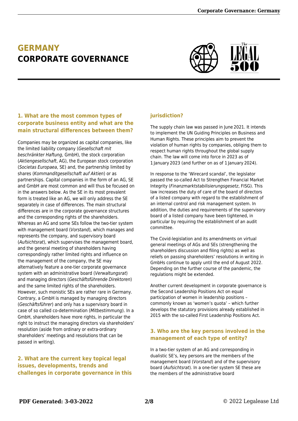### **GERMANY CORPORATE GOVERNANCE**



#### **1. What are the most common types of corporate business entity and what are the main structural differences between them?**

Companies may be organized as capital companies, like the limited liability company (Gesellschaft mit beschränkter Haftung, GmbH), the stock corporation (Aktiengesellschaft, AG), the European stock corporation (Societas Europaea, SE) and, the partnership limited by shares (Kommanditgesellschaft auf Aktien) or as partnerships. Capital companies in the form of an AG, SE and GmbH are most common and will thus be focused on in the answers below. As the SE in its most prevalent form is treated like an AG, we will only address the SE separately in case of differences. The main structural differences are in the corporate governance structures and the corresponding rights of the shareholders. Whereas an AG and some SEs follow the two-tier system with management board (Vorstand), which manages and represents the company, and supervisory board (Aufsichtsrat), which supervises the management board, and the general meeting of shareholders having correspondingly rather limited rights and influence on the management of the company, the SE may alternatively feature a one-tier corporate governance system with an administrative board (Verwaltungsrat) and managing directors (Geschäftsführende Direktoren) and the same limited rights of the shareholders. However, such monistic SEs are rather rare in Germany. Contrary, a GmbH is managed by managing directors (Geschäftsführer) and only has a supervisory board in case of so called co-determination (Mitbestimmung). In a GmbH, shareholders have more rights, in particular the right to instruct the managing directors via shareholders' resolution (aside from ordinary or extra-ordinary shareholders' meetings and resolutions that can be passed in writing).

**2. What are the current key topical legal issues, developments, trends and challenges in corporate governance in this**

#### **jurisdiction?**

The supply chain law was passed in June 2021. It intends to implement the UN Guiding Principles on Business and Human Rights. These principles aim to prevent the violation of human rights by companies, obliging them to respect human rights throughout the global supply chain. The law will come into force in 2023 as of 1 January 2023 (and further on as of 1 January 2024).

In response to the 'Wirecard scandal', the legislator passed the so-called Act to Strengthen Financial Market Integrity (Finanzmarktstabilisierungsgesetz, FISG). This law increases the duty of care of the board of directors of a listed company with regard to the establishment of an internal control and risk management system. In addition, the duties and requirements of the supervisory board of a listed company have been tightened, in particular by requiring the establishment of an audit committee.

The Covid-legislation and its amendments on virtual general meetings of AGs and SEs (strengthening the shareholders discussion and filing rights) as well as reliefs on passing shareholders' resolutions in writing in GmbHs continue to apply until the end of August 2022. Depending on the further course of the pandemic, the regulations might be extended.

Another current development in corporate governance is the Second Leadership Positions Act on equal participation of women in leadership positions – commonly known as 'women's quota' – which further develops the statutory provisions already established in 2015 with the so-called First Leadership Positions Act.

#### **3. Who are the key persons involved in the management of each type of entity?**

In a two-tier system of an AG and corresponding in dualistic SE's, key persons are the members of the management board (Vorstand) and of the supervisory board (Aufsichtsrat). In a one-tier system SE these are the members of the administrative board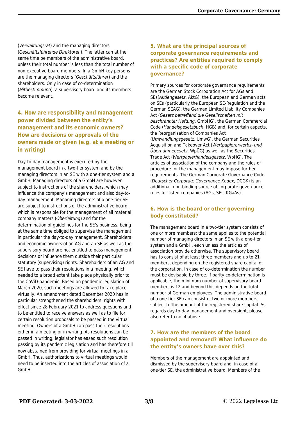(Verwaltungsrat) and the managing directors (Geschäftsführende Direktoren). The latter can at the same time be members of the administrative board, unless their total number is less than the total number of non-executive board members. In a GmbH key persons are the managing directors (Geschäftsführer) and the shareholders. Only in case of co-determination (Mitbestimmung), a supervisory board and its members become relevant.

#### **4. How are responsibility and management power divided between the entity's management and its economic owners? How are decisions or approvals of the owners made or given (e.g. at a meeting or in writing)**

Day-to-day management is executed by the management board in a two-tier system and by the managing directors in an SE with a one-tier system and a GmbH. Managing directors of a GmbH are however subject to instructions of the shareholders, which may influence the company's management and also day-today management. Managing directors of a one-tier SE are subject to instructions of the administrative board, which is responsible for the management of all material company matters (Oberleitung) and for the determination of guidelines for the SE's business, being at the same time obliged to supervise the management, in particular the day-to-day management. Shareholders and economic owners of an AG and an SE as well as the supervisory board are not entitled to pass management decisions or influence them outside their particular statutory (supervising) rights. Shareholders of an AG and SE have to pass their resolutions in a meeting, which needed to a broad extent take place physically prior to the CoViD-pandemic. Based on pandemic legislation of March 2020, such meetings are allowed to take place virtually. An amendment dated December 2020 has in particular strengthened the shareholders' rights with effect since 28 February 2021 to address questions and to be entitled to receive answers as well as to file for certain resolution proposals to be passed in the virtual meeting. Owners of a GmbH can pass their resolutions either in a meeting or in writing. As resolutions can be passed in writing, legislator has eased such resolution passing by its pandemic legislation and has therefore till now abstained from providing for virtual meetings in a GmbH. Thus, authorizations to virtual meetings would need to be inserted into the articles of association of a GmbH.

#### **5. What are the principal sources of corporate governance requirements and practices? Are entities required to comply with a specific code of corporate governance?**

Primary sources for corporate governance requirements are the German Stock Corporation Act for AGs and SEs(Aktiengesetz, AktG), the European and German acts on SEs (particularly the European SE-Regulation and the German SEAG), the German Limited Liability Companies Act (Gesetz betreffend die Gesellschaften mit beschränkter Haftung, GmbHG), the German Commercial Code (Handelsgesetzbuch, HGB) and, for certain aspects, the Reorganisation of Companies Act (Umwandlungsgesetz, UmwG), the German Securities Acquisition and Takeover Act (Wertpapiererwerbs- und Übernahmegesetz, WpÜG) as well as the Securities Trade Act (Wertpapierhandelsgesetz, WpHG). The articles of association of the company and the rules of procedure for the management may impose further requirements. The German Corporate Governance Code (Deutscher Corporate Governance Kodex, DCGK) is an additional, non-binding source of corporate governance rules for listed companies (AGs, SEs, KGaAs).

#### **6. How is the board or other governing body constituted?**

The management board in a two-tier system consists of one or more members; the same applies to the potential number of managing directors in an SE with a one-tier system and a GmbH, each unless the articles of association provide otherwise. The supervisory board has to consist of at least three members and up to 21 members, depending on the registered share capital of the corporation. In case of co-determination the number must be devisable by three. If parity co-determination is applicable, the minimum number of supervisory board members is 12 and beyond this depends on the total number of German employees. The administrative board of a one-tier SE can consist of two or more members, subject to the amount of the registered share capital. As regards day-to-day management and oversight, please also refer to no. 4 above.

#### **7. How are the members of the board appointed and removed? What influence do the entity's owners have over this?**

Members of the management are appointed and dismissed by the supervisory board and, in case of a one-tier SE, the administrative board. Members of the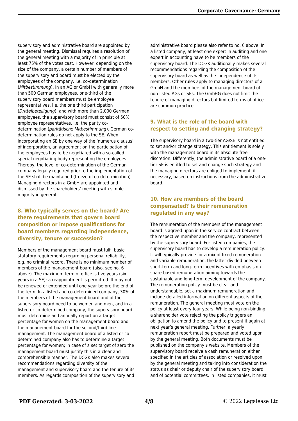supervisory and administrative board are appointed by the general meeting. Dismissal requires a resolution of the general meeting with a majority of in principle at least 75% of the votes cast. However, depending on the size of the company, a certain number of members of the supervisory and board must be elected by the employees of the company, i.e. co-determination (Mitbestimmung). In an AG or GmbH with generally more than 500 German employees, one-third of the supervisory board members must be employee representatives, i.e. the one third participation (Drittelbeteiligung), and with more than 2,000 German employees, the supervisory board must consist of 50% employee representatives, i.e. the parity codetermination (paritätische Mitbestimmung). German codetermination rules do not apply to the SE. When incorporating an SE by one way of the 'numerus clausus' of incorporation, an agreement on the participation of the employees has to be negotiated with a so-called special negotiating body representing the employees. Thereby, the level of co-determination of the German company legally required prior to the implementation of the SE shall be maintained (freeze of co-determination). Managing directors in a GmbH are appointed and dismissed by the shareholders' meeting with simple majority in general.

#### **8. Who typically serves on the board? Are there requirements that govern board composition or impose qualifications for board members regarding independence, diversity, tenure or succession?**

Members of the management board must fulfil basic statutory requirements regarding personal reliability, e.g. no criminal record. There is no minimum number of members of the management board (also, see no. 6 above). The maximum term of office is five years (six years in a SE); a reappointment is permitted. It may not be renewed or extended until one year before the end of the term. In a listed and co-determined company, 30% of the members of the management board and of the supervisory board need to be women and men, and in a listed or co-determined company, the supervisory board must determine and annually report on a target percentage for women on the management board and the management board for the second/third line management. The management board of a listed or codetermined company also has to determine a target percentage for women; in case of a set target of zero the management board must justify this in a clear and comprehensible manner. The DCGK also makes several recommendations regarding diversity of the management and supervisory board and the tenure of its members. As regards composition of the supervisory and

administrative board please also refer to no. 6 above. In a listed company, at least one expert in auditing and one expert in accounting have to be members of the supervisory board. The DCGK additionally makes several recommendations regarding the composition of the supervisory board as well as the independence of its members. Other rules apply to managing directors of a GmbH and the members of the management board of non-listed AGs or SEs. The GmbHG does not limit the tenure of managing directors but limited terms of office are common practice.

#### **9. What is the role of the board with respect to setting and changing strategy?**

The supervisory board in a two-tier AG/SE is not entitled to set and/or change strategy. This entitlement is solely with the management board in its absolute free discretion. Differently, the administrative board of a onetier SE is entitled to set and change such strategy and the managing directors are obliged to implement, if necessary, based on instructions from the administrative board.

#### **10. How are members of the board compensated? Is their remuneration regulated in any way?**

The remuneration of the members of the management board is agreed upon in the service contract between the respective member and the company, represented by the supervisory board. For listed companies, the supervisory board has to develop a remuneration policy. It will typically provide for a mix of fixed remuneration and variable remuneration, the latter divided between short-term and long-term incentives with emphasis on share-based remuneration aiming towards the sustainable and long-term development of the company. The remuneration policy must be clear and understandable, set a maximum remuneration and include detailed information on different aspects of the remuneration. The general meeting must vote on the policy at least every four years. While being non-binding, a shareholder vote rejecting the policy triggers an obligation to amend the policy and to present it again at next year's general meeting. Further, a yearly remuneration report must be prepared and voted upon by the general meeting. Both documents must be published on the company's website. Members of the supervisory board receive a cash remuneration either specified in the articles of association or resolved upon by the general meeting and taking into consideration the status as chair or deputy chair of the supervisory board and of potential committees. In listed companies, it must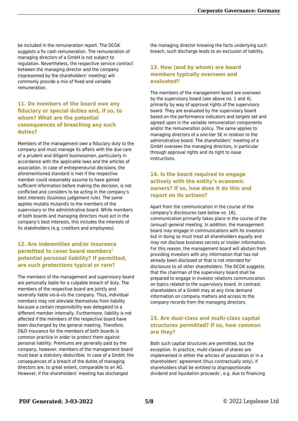be included in the remuneration report. The DCGK suggests a fix cash remuneration. The remuneration of managing directors of a GmbH is not subject to regulation. Nevertheless, the respective service contract between the managing director and the company (represented by the shareholders' meeting) will commonly provide a mix of fixed and variable remuneration.

#### **11. Do members of the board owe any fiduciary or special duties and, if so, to whom? What are the potential consequences of breaching any such duties?**

Members of the management owe a fiduciary duty to the company and must manage its affairs with the due care of a prudent and diligent businessman, particularly in accordance with the applicable laws and the articles of association. In case of entrepreneurial decisions, the aforementioned standard is met if the respective member could reasonably assume to have gained sufficient information before making the decision, is not conflicted and considers to be acting in the company's best interests (business judgement rule). The same applies mutatis mutandis to the members of the supervisory or the administrative board. While members of both boards and managing directors must act in the company's best interests, this includes the interests of its stakeholders (e.g. creditors and employees).

#### **12. Are indemnities and/or insurance permitted to cover board members' potential personal liability? If permitted, are such protections typical or rare?**

The members of the management and supervisory board are personally liable for a culpable breach of duty. The members of the respective board are jointly and severally liable vis-à-vis the company. Thus, individual members may not alleviate themselves from liability because a certain responsibility was delegated to a different member internally. Furthermore, liability is not affected if the members of the respective board have been discharged by the general meeting. Therefore, D&O insurance for the members of both boards is common practice in order to protect them against personal liability. Premiums are generally paid by the company, however, members of the management board must bear a statutory deductible. In case of a GmbH, the consequences of a breach of the duties of managing directors are, to great extent, comparable to an AG. However, if the shareholders' meeting has discharged

the managing director knowing the facts underlying such breach, such discharge leads to an exclusion of liability.

#### **13. How (and by whom) are board members typically overseen and evaluated?**

The members of the management board are overseen by the supervisory board (see above no. 1 and 4), primarily by way of approval rights of the supervisory board. They are evaluated by the supervisory board based on the performance indicators and targets set and agreed upon in the variable remuneration components and/or the remuneration policy. The same applies to managing directors of a one-tier SE in relation to the administrative board. The shareholders' meeting of a GmbH oversees the managing directors, in particular through approval rights and its right to issue instructions.

#### **14. Is the board required to engage actively with the entity's economic owners? If so, how does it do this and report on its actions?**

Apart from the communication in the course of the company's disclosures (see below no. 16), communication primarily takes place in the course of the (annual) general meeting. In addition, the management board may engage in communications with its investors but in doing so must treat all shareholders equally and may not disclose business secrets or insider information. For this reason, the management board will abstain from providing investors with any information that has not already been disclosed or that is not intended for disclosure to all other shareholders. The DCGK suggests that the chairman of the supervisory board shall be prepared to engage in investor relations communication on topics related to the supervisory board. In contrast, shareholders of a GmbH may at any time demand information on company matters and access to the company records from the managing directors.

#### **15. Are dual-class and multi-class capital structures permitted? If so, how common are they?**

Both such capital structures are permitted, but the exception. In practice, multi-classes of shares are implemented in either the articles of association or in a shareholders' agreement (thus contractually only), if shareholders shall be entitled to disproportionate dividend and liquidation proceeds', e.g. due to financing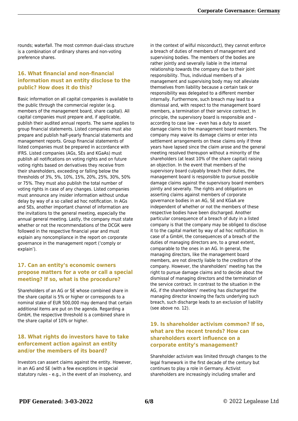rounds; waterfall. The most common dual-class structure is a combination of ordinary shares and non-voting preference shares.

#### **16. What financial and non-financial information must an entity disclose to the public? How does it do this?**

Basic information on all capital companies is available to the public through the commercial register (e.g. members of the management board, share capital). All capital companies must prepare and, if applicable, publish their audited annual reports. The same applies to group financial statements. Listed companies must also prepare and publish half-yearly financial statements and management reports. Group financial statements of listed companies must be prepared in accordance with IFRS. Listed companies (AGs, SEs and KGaAs) must publish all notifications on voting rights and on future voting rights based on derivatives they receive from their shareholders, exceeding or falling below the thresholds of 3%, 5%, 10%, 15%, 20%, 25%, 30%, 50% or 75%. They must also publish the total number of voting rights in case of any changes. Listed companies must announce any insider information without undue delay by way of a so called ad hoc notification. In AGs and SEs, another important channel of information are the invitations to the general meeting, especially the annual general meeting. Lastly, the company must state whether or not the recommendations of the DCGK were followed in the respective financial year and must explain any noncompliance in the report on corporate governance in the management report ('comply or explain').

#### **17. Can an entity's economic owners propose matters for a vote or call a special meeting? If so, what is the procedure?**

Shareholders of an AG or SE whose combined share in the share capital is 5% or higher or corresponds to a nominal stake of EUR 500,000 may demand that certain additional items are put on the agenda. Regarding a GmbH, the respective threshold is a combined share in the share capital of 10% or higher.

#### **18. What rights do investors have to take enforcement action against an entity and/or the members of its board?**

Investors can assert claims against the entity. However, in an AG and SE (with a few exceptions in special statutory rules – e.g., in the event of an insolvency, and

in the context of wilful misconduct), they cannot enforce a breach of duties of members of management and supervising bodies. The members of the bodies are rather jointly and severally liable in the internal relationship towards the company due to their joint responsibility. Thus, individual members of a management and supervising body may not alleviate themselves from liability because a certain task or responsibility was delegated to a different member internally. Furthermore, such breach may lead to a dismissal and, with respect to the management board members, a termination of their service contract. In principle, the supervisory board is responsible and – according to case law – even has a duty to assert damage claims to the management board members. The company may waive its damage claims or enter into settlement arrangements on these claims only if three years have lapsed since the claim arose and the general meeting resolved thereupon without a minority of the shareholders (at least 10% of the share capital) raising an objection. In the event that members of the supervisory board culpably breach their duties, the management board is responsible to pursue possible damage claims against the supervisory board members jointly and severally. The rights and obligations on asserting claims against members of corporate governance bodies in an AG, SE and KGaA are independent of whether or not the members of these respective bodies have been discharged. Another particular consequence of a breach of duty in a listed company is that the company may be obliged to disclose it to the capital market by way of ad hoc notification. In case of a GmbH, the consequences of a breach of the duties of managing directors are, to a great extent, comparable to the ones in an AG. In general, the managing directors, like the management board members, are not directly liable to the creditors of the company. However, the shareholders' meeting has the right to pursue damage claims and to decide about the dismissal of managing directors and the termination of the service contract. In contrast to the situation in the AG, if the shareholders' meeting has discharged the managing director knowing the facts underlying such breach, such discharge leads to an exclusion of liability (see above no. 12).

#### **19. Is shareholder activism common? If so, what are the recent trends? How can shareholders exert influence on a corporate entity's management?**

Shareholder activism was limited through changes to the legal framework in the first decade of the century but continues to play a role in Germany. Activist shareholders are increasingly including smaller and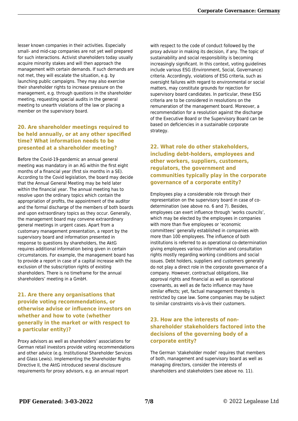lesser known companies in their activities. Especially small- and mid-cap companies are not yet well prepared for such interactions. Activist shareholders today usually acquire minority stakes and will then approach the management with certain demands. If such demands are not met, they will escalate the situation, e.g. by launching public campaigns. They may also exercise their shareholder rights to increase pressure on the management, e.g. through questions in the shareholder meeting, requesting special audits in the general meeting to unearth violations of the law or placing a member on the supervisory board.

#### **20. Are shareholder meetings required to be held annually, or at any other specified time? What information needs to be presented at a shareholder meeting?**

Before the Covid-19-pandemic an annual general meeting was mandatory in an AG within the first eight months of a financial year (first six months in a SE). According to the Covid legislation, the board may decide that the Annual General Meeting may be held later within the financial year. The annual meeting has to resolve upon the ordinary topics which contain the appropriation of profits, the appointment of the auditor and the formal discharge of the members of both boards and upon extraordinary topics as they occur. Generally, the management board may convene extraordinary general meetings in urgent cases. Apart from a customary management presentation, a report by the supervisory board and information presented in response to questions by shareholders, the AktG requires additional information being given in certain circumstances. For example, the management board has to provide a report in case of a capital increase with the exclusion of the subscription rights of existing shareholders. There is no timeframe for the annual shareholders' meeting in a GmbH.

#### **21. Are there any organisations that provide voting recommendations, or otherwise advise or influence investors on whether and how to vote (whether generally in the market or with respect to a particular entity)?**

Proxy advisors as well as shareholders' associations for German retail investors provide voting recommendations and other advice (e.g. Institutional Shareholder Services and Glass Lewis). Implementing the Shareholder Rights Directive II, the AktG introduced several disclosure requirements for proxy advisors, e.g. an annual report

with respect to the code of conduct followed by the proxy advisor in making its decision, if any. The topic of sustainability and social responsibility is becoming increasingly significant. In this context, voting guidelines include various ESG (Environment, Social, Governance) criteria. Accordingly, violations of ESG criteria, such as oversight failures with regard to environmental or social matters, may constitute grounds for rejection for supervisory board candidates. In particular, these ESG criteria are to be considered in resolutions on the remuneration of the management board. Moreover, a recommendation for a resolution against the discharge of the Executive Board or the Supervisory Board can be based on deficiencies in a sustainable corporate strategy.

#### **22. What role do other stakeholders, including debt-holders, employees and other workers, suppliers, customers, regulators, the government and communities typically play in the corporate governance of a corporate entity?**

Employees play a considerable role through their representation on the supervisory board in case of codetermination (see above no. 6 and 7). Besides, employees can exert influence through 'works councils', which may be elected by the employees in companies with more than five employees or 'economic committees' generally established in companies with more than 100 employees. The influence of both institutions is referred to as operational co-determination giving employees various information and consultation rights mostly regarding working conditions and social issues. Debt holders, suppliers and customers generally do not play a direct role in the corporate governance of a company. However, contractual obligations, like approval rights and financial as well as operational covenants, as well as de facto influence may have similar effects; yet, factual management thereby is restricted by case law. Some companies may be subject to similar constraints vis-à-vis their customers.

#### **23. How are the interests of nonshareholder stakeholders factored into the decisions of the governing body of a corporate entity?**

The German 'stakeholder model' requires that members of both, management and supervisory board as well as managing directors, consider the interests of shareholders and stakeholders (see above no. 11).